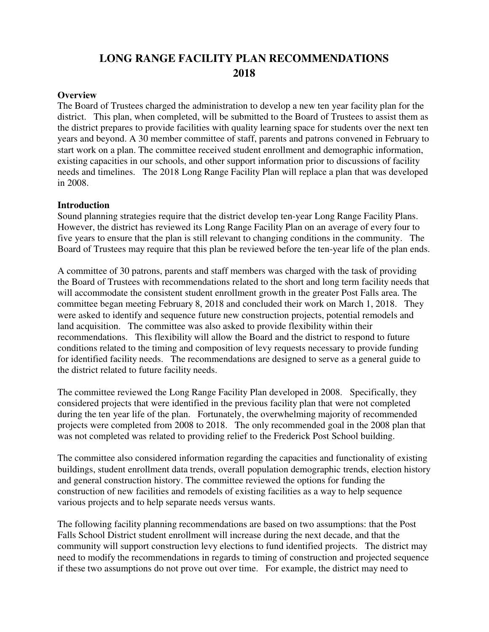# **LONG RANGE FACILITY PLAN RECOMMENDATIONS 2018**

#### **Overview**

The Board of Trustees charged the administration to develop a new ten year facility plan for the district. This plan, when completed, will be submitted to the Board of Trustees to assist them as the district prepares to provide facilities with quality learning space for students over the next ten years and beyond. A 30 member committee of staff, parents and patrons convened in February to start work on a plan. The committee received student enrollment and demographic information, existing capacities in our schools, and other support information prior to discussions of facility needs and timelines. The 2018 Long Range Facility Plan will replace a plan that was developed in 2008.

#### **Introduction**

Sound planning strategies require that the district develop ten-year Long Range Facility Plans. However, the district has reviewed its Long Range Facility Plan on an average of every four to five years to ensure that the plan is still relevant to changing conditions in the community. The Board of Trustees may require that this plan be reviewed before the ten-year life of the plan ends.

A committee of 30 patrons, parents and staff members was charged with the task of providing the Board of Trustees with recommendations related to the short and long term facility needs that will accommodate the consistent student enrollment growth in the greater Post Falls area. The committee began meeting February 8, 2018 and concluded their work on March 1, 2018. They were asked to identify and sequence future new construction projects, potential remodels and land acquisition. The committee was also asked to provide flexibility within their recommendations. This flexibility will allow the Board and the district to respond to future conditions related to the timing and composition of levy requests necessary to provide funding for identified facility needs. The recommendations are designed to serve as a general guide to the district related to future facility needs.

The committee reviewed the Long Range Facility Plan developed in 2008. Specifically, they considered projects that were identified in the previous facility plan that were not completed during the ten year life of the plan. Fortunately, the overwhelming majority of recommended projects were completed from 2008 to 2018. The only recommended goal in the 2008 plan that was not completed was related to providing relief to the Frederick Post School building.

The committee also considered information regarding the capacities and functionality of existing buildings, student enrollment data trends, overall population demographic trends, election history and general construction history. The committee reviewed the options for funding the construction of new facilities and remodels of existing facilities as a way to help sequence various projects and to help separate needs versus wants.

The following facility planning recommendations are based on two assumptions: that the Post Falls School District student enrollment will increase during the next decade, and that the community will support construction levy elections to fund identified projects. The district may need to modify the recommendations in regards to timing of construction and projected sequence if these two assumptions do not prove out over time. For example, the district may need to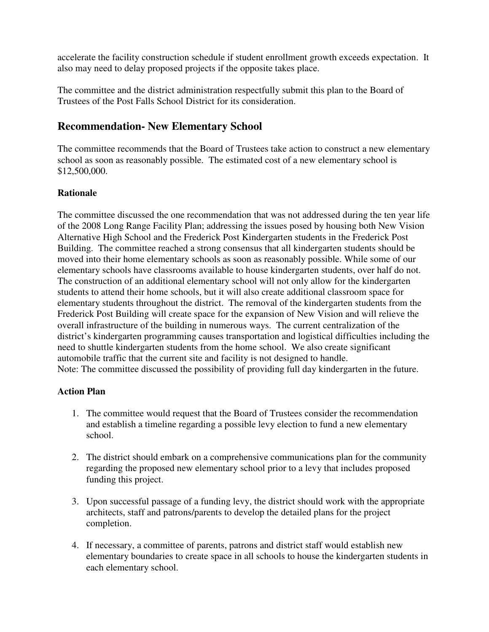accelerate the facility construction schedule if student enrollment growth exceeds expectation. It also may need to delay proposed projects if the opposite takes place.

The committee and the district administration respectfully submit this plan to the Board of Trustees of the Post Falls School District for its consideration.

## **Recommendation- New Elementary School**

The committee recommends that the Board of Trustees take action to construct a new elementary school as soon as reasonably possible. The estimated cost of a new elementary school is \$12,500,000.

### **Rationale**

The committee discussed the one recommendation that was not addressed during the ten year life of the 2008 Long Range Facility Plan; addressing the issues posed by housing both New Vision Alternative High School and the Frederick Post Kindergarten students in the Frederick Post Building. The committee reached a strong consensus that all kindergarten students should be moved into their home elementary schools as soon as reasonably possible. While some of our elementary schools have classrooms available to house kindergarten students, over half do not. The construction of an additional elementary school will not only allow for the kindergarten students to attend their home schools, but it will also create additional classroom space for elementary students throughout the district. The removal of the kindergarten students from the Frederick Post Building will create space for the expansion of New Vision and will relieve the overall infrastructure of the building in numerous ways. The current centralization of the district's kindergarten programming causes transportation and logistical difficulties including the need to shuttle kindergarten students from the home school. We also create significant automobile traffic that the current site and facility is not designed to handle. Note: The committee discussed the possibility of providing full day kindergarten in the future.

- 1. The committee would request that the Board of Trustees consider the recommendation and establish a timeline regarding a possible levy election to fund a new elementary school.
- 2. The district should embark on a comprehensive communications plan for the community regarding the proposed new elementary school prior to a levy that includes proposed funding this project.
- 3. Upon successful passage of a funding levy, the district should work with the appropriate architects, staff and patrons/parents to develop the detailed plans for the project completion.
- 4. If necessary, a committee of parents, patrons and district staff would establish new elementary boundaries to create space in all schools to house the kindergarten students in each elementary school.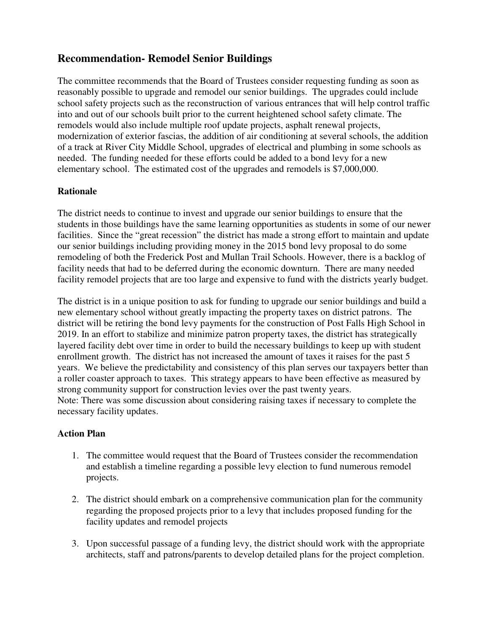# **Recommendation- Remodel Senior Buildings**

The committee recommends that the Board of Trustees consider requesting funding as soon as reasonably possible to upgrade and remodel our senior buildings. The upgrades could include school safety projects such as the reconstruction of various entrances that will help control traffic into and out of our schools built prior to the current heightened school safety climate. The remodels would also include multiple roof update projects, asphalt renewal projects, modernization of exterior fascias, the addition of air conditioning at several schools, the addition of a track at River City Middle School, upgrades of electrical and plumbing in some schools as needed. The funding needed for these efforts could be added to a bond levy for a new elementary school. The estimated cost of the upgrades and remodels is \$7,000,000.

### **Rationale**

The district needs to continue to invest and upgrade our senior buildings to ensure that the students in those buildings have the same learning opportunities as students in some of our newer facilities. Since the "great recession" the district has made a strong effort to maintain and update our senior buildings including providing money in the 2015 bond levy proposal to do some remodeling of both the Frederick Post and Mullan Trail Schools. However, there is a backlog of facility needs that had to be deferred during the economic downturn. There are many needed facility remodel projects that are too large and expensive to fund with the districts yearly budget.

The district is in a unique position to ask for funding to upgrade our senior buildings and build a new elementary school without greatly impacting the property taxes on district patrons. The district will be retiring the bond levy payments for the construction of Post Falls High School in 2019. In an effort to stabilize and minimize patron property taxes, the district has strategically layered facility debt over time in order to build the necessary buildings to keep up with student enrollment growth. The district has not increased the amount of taxes it raises for the past 5 years. We believe the predictability and consistency of this plan serves our taxpayers better than a roller coaster approach to taxes. This strategy appears to have been effective as measured by strong community support for construction levies over the past twenty years. Note: There was some discussion about considering raising taxes if necessary to complete the necessary facility updates.

- 1. The committee would request that the Board of Trustees consider the recommendation and establish a timeline regarding a possible levy election to fund numerous remodel projects.
- 2. The district should embark on a comprehensive communication plan for the community regarding the proposed projects prior to a levy that includes proposed funding for the facility updates and remodel projects
- 3. Upon successful passage of a funding levy, the district should work with the appropriate architects, staff and patrons/parents to develop detailed plans for the project completion.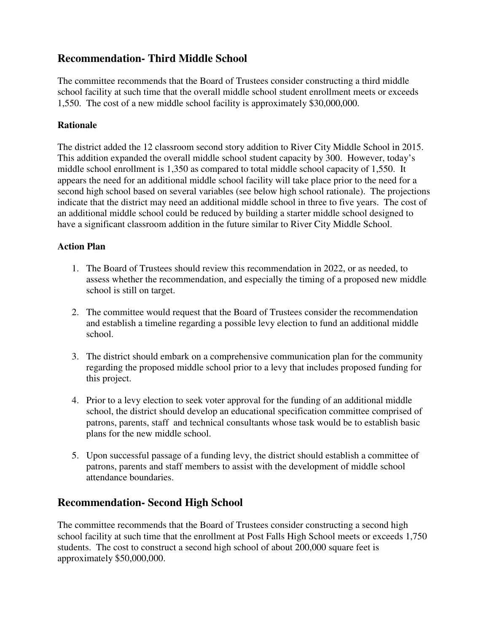# **Recommendation- Third Middle School**

The committee recommends that the Board of Trustees consider constructing a third middle school facility at such time that the overall middle school student enrollment meets or exceeds 1,550. The cost of a new middle school facility is approximately \$30,000,000.

### **Rationale**

The district added the 12 classroom second story addition to River City Middle School in 2015. This addition expanded the overall middle school student capacity by 300. However, today's middle school enrollment is 1,350 as compared to total middle school capacity of 1,550. It appears the need for an additional middle school facility will take place prior to the need for a second high school based on several variables (see below high school rationale). The projections indicate that the district may need an additional middle school in three to five years. The cost of an additional middle school could be reduced by building a starter middle school designed to have a significant classroom addition in the future similar to River City Middle School.

### **Action Plan**

- 1. The Board of Trustees should review this recommendation in 2022, or as needed, to assess whether the recommendation, and especially the timing of a proposed new middle school is still on target.
- 2. The committee would request that the Board of Trustees consider the recommendation and establish a timeline regarding a possible levy election to fund an additional middle school.
- 3. The district should embark on a comprehensive communication plan for the community regarding the proposed middle school prior to a levy that includes proposed funding for this project.
- 4. Prior to a levy election to seek voter approval for the funding of an additional middle school, the district should develop an educational specification committee comprised of patrons, parents, staff and technical consultants whose task would be to establish basic plans for the new middle school.
- 5. Upon successful passage of a funding levy, the district should establish a committee of patrons, parents and staff members to assist with the development of middle school attendance boundaries.

## **Recommendation- Second High School**

The committee recommends that the Board of Trustees consider constructing a second high school facility at such time that the enrollment at Post Falls High School meets or exceeds 1,750 students. The cost to construct a second high school of about 200,000 square feet is approximately \$50,000,000.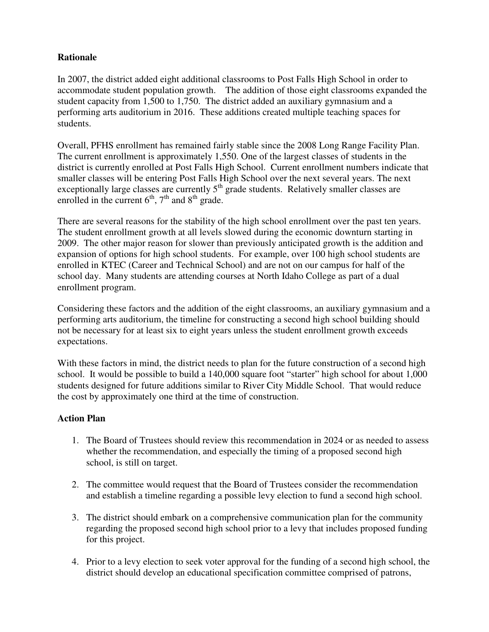### **Rationale**

In 2007, the district added eight additional classrooms to Post Falls High School in order to accommodate student population growth. The addition of those eight classrooms expanded the student capacity from 1,500 to 1,750. The district added an auxiliary gymnasium and a performing arts auditorium in 2016. These additions created multiple teaching spaces for students.

Overall, PFHS enrollment has remained fairly stable since the 2008 Long Range Facility Plan. The current enrollment is approximately 1,550. One of the largest classes of students in the district is currently enrolled at Post Falls High School. Current enrollment numbers indicate that smaller classes will be entering Post Falls High School over the next several years. The next exceptionally large classes are currently  $5<sup>th</sup>$  grade students. Relatively smaller classes are enrolled in the current  $6<sup>th</sup>$ ,  $7<sup>th</sup>$  and  $8<sup>th</sup>$  grade.

There are several reasons for the stability of the high school enrollment over the past ten years. The student enrollment growth at all levels slowed during the economic downturn starting in 2009. The other major reason for slower than previously anticipated growth is the addition and expansion of options for high school students. For example, over 100 high school students are enrolled in KTEC (Career and Technical School) and are not on our campus for half of the school day. Many students are attending courses at North Idaho College as part of a dual enrollment program.

Considering these factors and the addition of the eight classrooms, an auxiliary gymnasium and a performing arts auditorium, the timeline for constructing a second high school building should not be necessary for at least six to eight years unless the student enrollment growth exceeds expectations.

With these factors in mind, the district needs to plan for the future construction of a second high school. It would be possible to build a 140,000 square foot "starter" high school for about 1,000 students designed for future additions similar to River City Middle School. That would reduce the cost by approximately one third at the time of construction.

- 1. The Board of Trustees should review this recommendation in 2024 or as needed to assess whether the recommendation, and especially the timing of a proposed second high school, is still on target.
- 2. The committee would request that the Board of Trustees consider the recommendation and establish a timeline regarding a possible levy election to fund a second high school.
- 3. The district should embark on a comprehensive communication plan for the community regarding the proposed second high school prior to a levy that includes proposed funding for this project.
- 4. Prior to a levy election to seek voter approval for the funding of a second high school, the district should develop an educational specification committee comprised of patrons,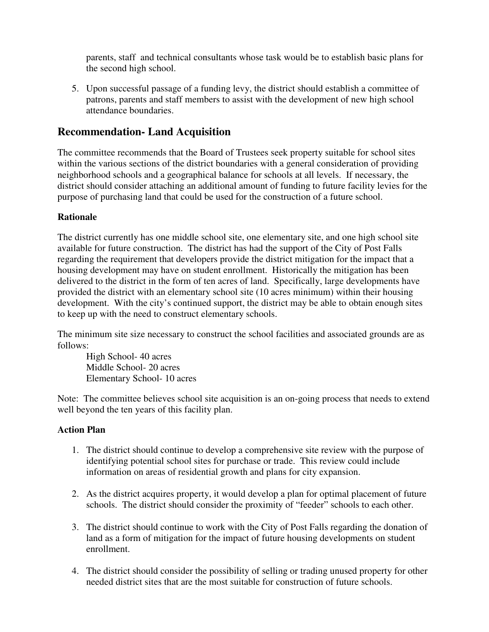parents, staff and technical consultants whose task would be to establish basic plans for the second high school.

5. Upon successful passage of a funding levy, the district should establish a committee of patrons, parents and staff members to assist with the development of new high school attendance boundaries.

## **Recommendation- Land Acquisition**

The committee recommends that the Board of Trustees seek property suitable for school sites within the various sections of the district boundaries with a general consideration of providing neighborhood schools and a geographical balance for schools at all levels. If necessary, the district should consider attaching an additional amount of funding to future facility levies for the purpose of purchasing land that could be used for the construction of a future school.

### **Rationale**

The district currently has one middle school site, one elementary site, and one high school site available for future construction. The district has had the support of the City of Post Falls regarding the requirement that developers provide the district mitigation for the impact that a housing development may have on student enrollment. Historically the mitigation has been delivered to the district in the form of ten acres of land. Specifically, large developments have provided the district with an elementary school site (10 acres minimum) within their housing development. With the city's continued support, the district may be able to obtain enough sites to keep up with the need to construct elementary schools.

The minimum site size necessary to construct the school facilities and associated grounds are as follows:

High School- 40 acres Middle School- 20 acres Elementary School- 10 acres

Note: The committee believes school site acquisition is an on-going process that needs to extend well beyond the ten years of this facility plan.

- 1. The district should continue to develop a comprehensive site review with the purpose of identifying potential school sites for purchase or trade. This review could include information on areas of residential growth and plans for city expansion.
- 2. As the district acquires property, it would develop a plan for optimal placement of future schools. The district should consider the proximity of "feeder" schools to each other.
- 3. The district should continue to work with the City of Post Falls regarding the donation of land as a form of mitigation for the impact of future housing developments on student enrollment.
- 4. The district should consider the possibility of selling or trading unused property for other needed district sites that are the most suitable for construction of future schools.